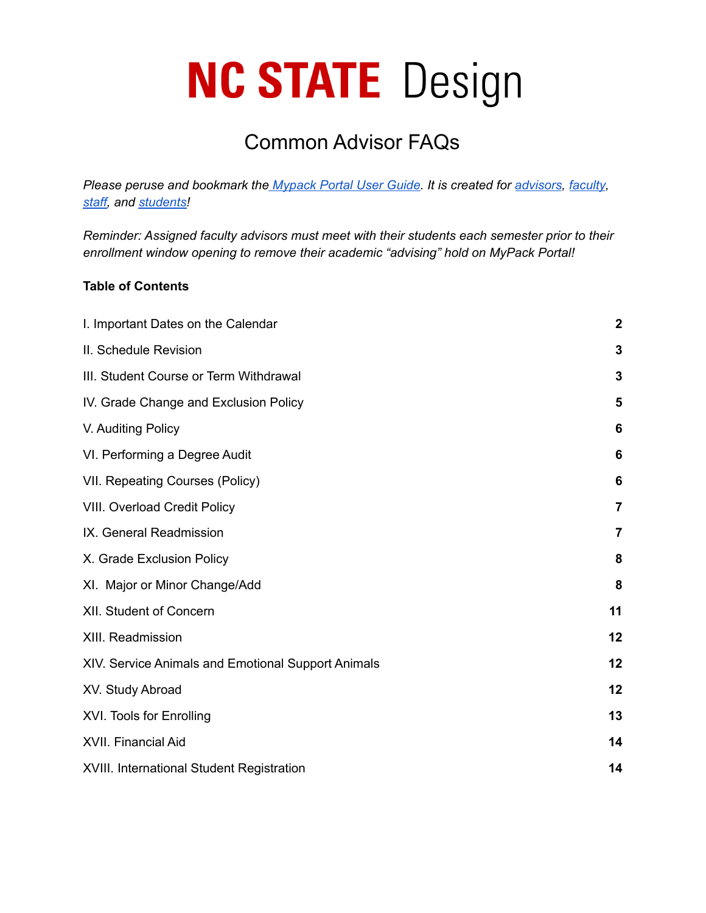# **NC STATE** Design

## Common Advisor FAQs

*Please peruse and bookmark the [Mypack](https://sis.emas.ncsu.edu) Portal User Guide. It is created for [advisors](https://sis.emas.ncsu.edu/advisors/), [faculty](https://sis.emas.ncsu.edu/faculty/), [staff,](https://sis.emas.ncsu.edu/staff/) and [students!](https://sis.emas.ncsu.edu/students/)*

*Reminder: Assigned faculty advisors must meet with their students each semester prior to their enrollment window opening to remove their academic "advising" hold on MyPack Portal!*

#### **Table of Contents**

| I. Important Dates on the Calendar                 | $\boldsymbol{2}$ |
|----------------------------------------------------|------------------|
| II. Schedule Revision                              | 3                |
| III. Student Course or Term Withdrawal             | 3                |
| IV. Grade Change and Exclusion Policy              | 5                |
| V. Auditing Policy                                 | 6                |
| VI. Performing a Degree Audit                      | 6                |
| VII. Repeating Courses (Policy)                    | 6                |
| <b>VIII. Overload Credit Policy</b>                | 7                |
| IX. General Readmission                            | 7                |
| X. Grade Exclusion Policy                          | 8                |
| XI. Major or Minor Change/Add                      | 8                |
| XII. Student of Concern                            | 11               |
| XIII. Readmission                                  | 12               |
| XIV. Service Animals and Emotional Support Animals | 12               |
| XV. Study Abroad                                   | 12               |
| XVI. Tools for Enrolling                           | 13               |
| XVII. Financial Aid                                | 14               |
| XVIII. International Student Registration          | 14               |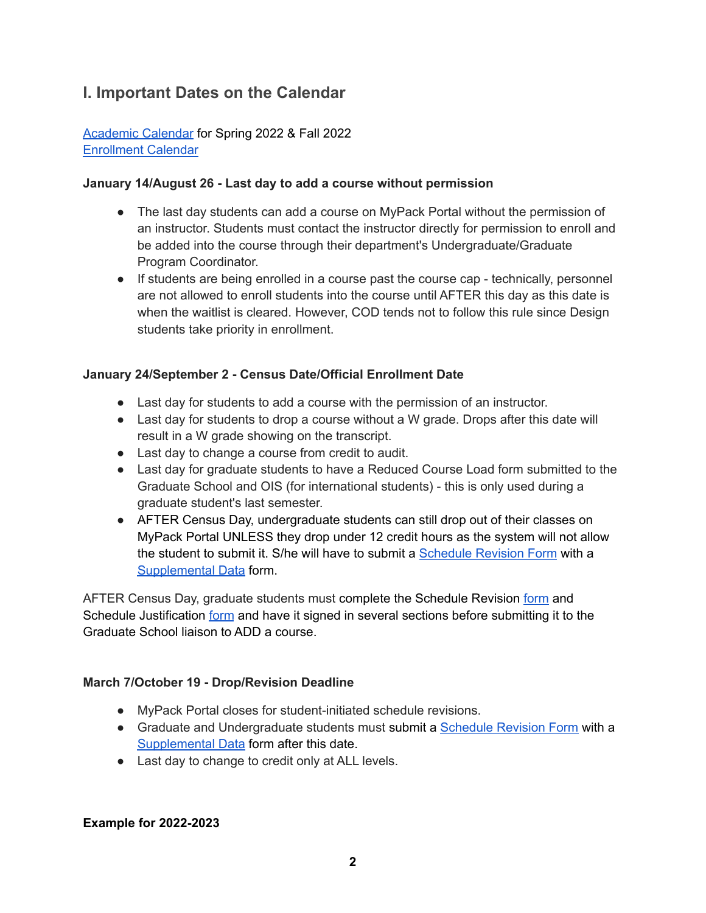## <span id="page-1-0"></span>**I. Important Dates on the Calendar**

[Academic](https://studentservices.ncsu.edu/calendars/academic/) Calendar for Spring 2022 & Fall 2022 [Enrollment](https://studentservices.ncsu.edu/calendars/enrollment/) Calendar

#### **January 14/August 26 - Last day to add a course without permission**

- The last day students can add a course on MyPack Portal without the permission of an instructor. Students must contact the instructor directly for permission to enroll and be added into the course through their department's Undergraduate/Graduate Program Coordinator.
- If students are being enrolled in a course past the course cap technically, personnel are not allowed to enroll students into the course until AFTER this day as this date is when the waitlist is cleared. However, COD tends not to follow this rule since Design students take priority in enrollment.

#### **January 24/September 2 - Census Date/Official Enrollment Date**

- Last day for students to add a course with the permission of an instructor.
- Last day for students to drop a course without a W grade. Drops after this date will result in a W grade showing on the transcript.
- Last day to change a course from credit to audit.
- Last day for graduate students to have a Reduced Course Load form submitted to the Graduate School and OIS (for international students) - this is only used during a graduate student's last semester.
- AFTER Census Day, undergraduate students can still drop out of their classes on MyPack Portal UNLESS they drop under 12 credit hours as the system will not allow the student to submit it. S/he will have to submit a [Schedule](https://studentservices.ncsu.edu/wp-content/uploads/2019/08/Schedule-Revision-Form-10-2018-1.pdf) Revision Form with [a](https://studentservices.ncsu.edu/wp-content/uploads/2018/09/supplementaldataform-NO-DEAN.pdf) [Supplemental](https://studentservices.ncsu.edu/wp-content/uploads/2018/09/supplementaldataform-NO-DEAN.pdf) Data form.

AFTER Census Day, graduate students must complete the Schedule Revision [form](https://studentservices.ncsu.edu/wp-content/uploads/2018/09/Schedule-Revision-form-NO-DEAN-2018.pdf) and Schedule Justification [form](https://grad.ncsu.edu/wp-content/uploads/2015/11/schedule-revision-justification.pdf) and have it signed in several sections before submitting it to the Graduate School liaison to ADD a course.

#### **March 7/October 19 - Drop/Revision Deadline**

- MyPack Portal closes for student-initiated schedule revisions.
- Graduate and Undergraduate students must submit a [Schedule](https://studentservices.ncsu.edu/wp-content/uploads/2019/08/Schedule-Revision-Form-10-2018-1.pdf) Revision Form with a [Supplemental](https://studentservices.ncsu.edu/wp-content/uploads/2018/09/supplementaldataform-NO-DEAN.pdf) Data form after this date.
- Last day to change to credit only at ALL levels.

#### **Example for 2022-2023**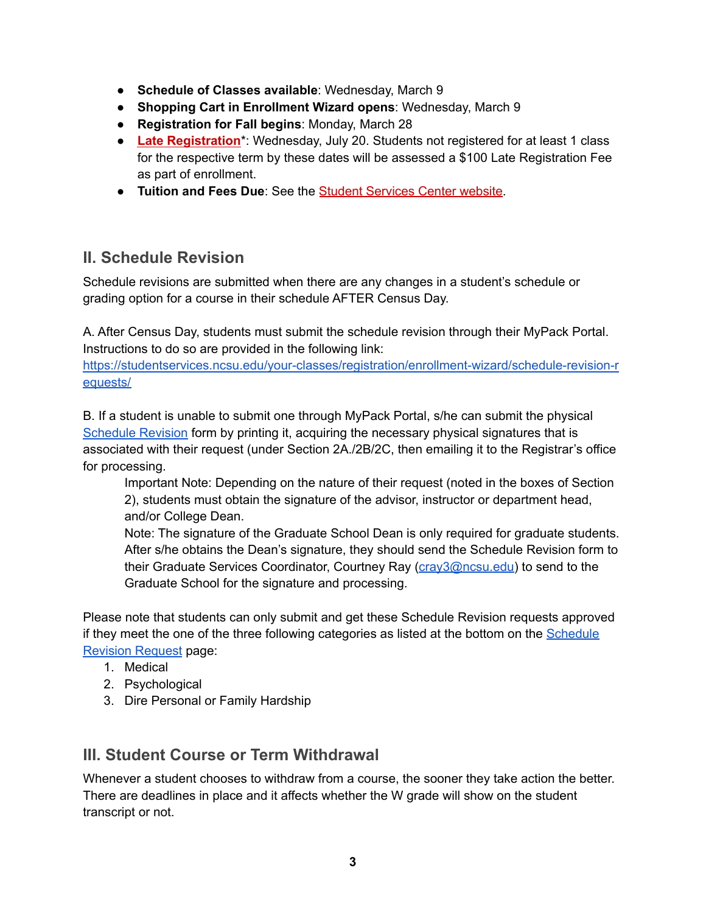- **Schedule of Classes available**: Wednesday, March 9
- **Shopping Cart in Enrollment Wizard opens**: Wednesday, March 9
- **Registration for Fall begins**: Monday, March 28
- **Late [Registration](https://ncsu.us6.list-manage.com/track/click?u=59cd6a80e7&id=d6a049ecb4&e=b78b1c6124)**\*: Wednesday, July 20. Students not registered for at least 1 class for the respective term by these dates will be assessed a \$100 Late Registration Fee as part of enrollment.
- **Tuition and Fees Due**: See the Student [Services](https://ncsu.us6.list-manage.com/track/click?u=59cd6a80e7&id=2e8e8dbf89&e=b78b1c6124) Center website.

## <span id="page-2-0"></span>**II. Schedule Revision**

Schedule revisions are submitted when there are any changes in a student's schedule or grading option for a course in their schedule AFTER Census Day.

A. After Census Day, students must submit the schedule revision through their MyPack Portal. Instructions to do so are provided in the following link:

[https://studentservices.ncsu.edu/your-classes/registration/enrollment-wizard/schedule-revision-r](https://studentservices.ncsu.edu/your-classes/registration/enrollment-wizard/schedule-revision-requests/) [equests/](https://studentservices.ncsu.edu/your-classes/registration/enrollment-wizard/schedule-revision-requests/)

B. If a student is unable to submit one through MyPack Portal, s/he can submit the physical [Schedule](https://studentservices.ncsu.edu/wp-content/uploads/2018/09/Schedule-Revision-form-NO-DEAN-2018.pdf) Revision form by printing it, acquiring the necessary physical signatures that is associated with their request (under Section 2A./2B/2C, then emailing it to the Registrar's office for processing.

Important Note: Depending on the nature of their request (noted in the boxes of Section 2), students must obtain the signature of the advisor, instructor or department head, and/or College Dean.

Note: The signature of the Graduate School Dean is only required for graduate students. After s/he obtains the Dean's signature, they should send the Schedule Revision form to their Graduate Services Coordinator, Courtney Ray [\(cray3@ncsu.edu](mailto:cray3@ncsu.edu)) to send to the Graduate School for the signature and processing.

Please note that students can only submit and get these Schedule Revision requests approved if they meet the one of the three following categories as listed at the bottom on the [Schedule](https://studentservices.ncsu.edu/your-classes/registration/enrollment-wizard/schedule-revision-requests/) [Revision](https://studentservices.ncsu.edu/your-classes/registration/enrollment-wizard/schedule-revision-requests/) Request page:

- 1. Medical
- 2. Psychological
- 3. Dire Personal or Family Hardship

## <span id="page-2-1"></span>**III. Student Course or Term Withdrawal**

Whenever a student chooses to withdraw from a course, the sooner they take action the better. There are deadlines in place and it affects whether the W grade will show on the student transcript or not.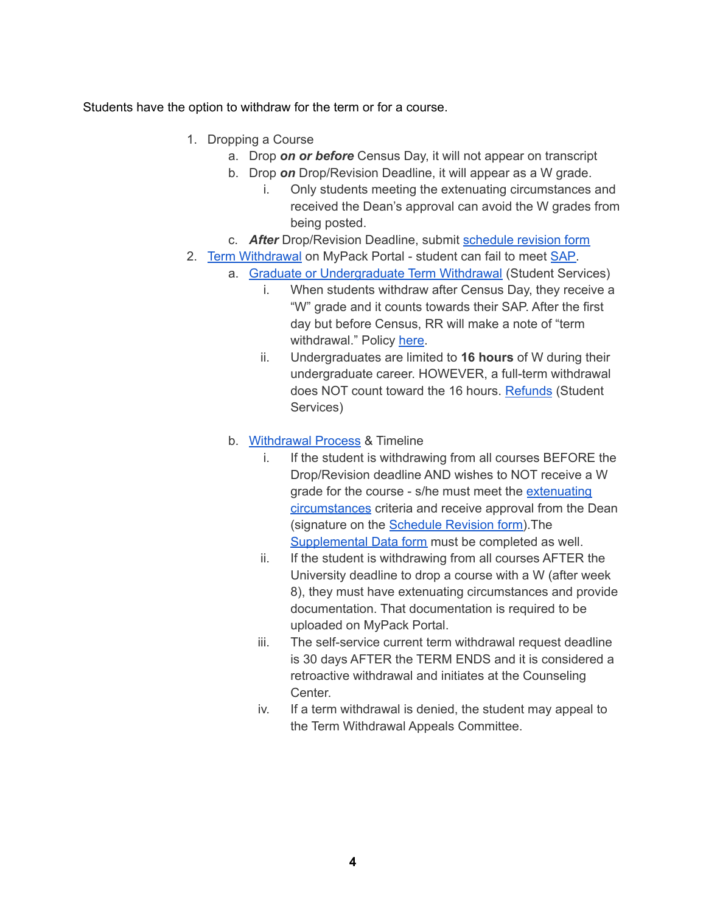Students have the option to withdraw for the term or for a course.

- 1. Dropping a Course
	- a. Drop *on or before* Census Day, it will not appear on transcript
	- b. Drop *on* Drop/Revision Deadline, it will appear as a W grade.
		- i. Only students meeting the extenuating circumstances and received the Dean's approval can avoid the W grades from being posted.
	- c. *After* Drop/Revision Deadline, submit [schedule](https://studentservices.ncsu.edu/your-resources/forms/) revision form
- 2. Term [Withdrawal](https://policies.ncsu.edu/regulation/reg-02-05-04/) on MyPack Portal student can fail to meet [SAP.](https://studentservices.ncsu.edu/your-degree/academic-progress/)
	- a. Graduate or [Undergraduate](https://studentservices.ncsu.edu/your-classes/withdrawal/) Term Withdrawal (Student Services)
		- i. When students withdraw after Census Day, they receive a "W" grade and it counts towards their SAP. After the first day but before Census, RR will make a note of "term withdrawal." Policy [here](https://studentservices.ncsu.edu/your-classes/withdrawal/process/).
		- ii. Undergraduates are limited to **16 hours** of W during their undergraduate career. HOWEVER, a full-term withdrawal does NOT count toward the 16 hours. [Refunds](https://studentservices.ncsu.edu/your-money/bill/refunds-and-reimbursements/refunds-for-withdrawal/) (Student Services)
	- b. [Withdrawal](https://studentservices.ncsu.edu/your-classes/withdrawal/process/) Process & Timeline
		- i. If the student is withdrawing from all courses BEFORE the Drop/Revision deadline AND wishes to NOT receive a W grade for the course - s/he must meet the [extenuating](https://studentservices.ncsu.edu/your-classes/withdrawal/extenuating-circumstances/) [circumstances](https://studentservices.ncsu.edu/your-classes/withdrawal/extenuating-circumstances/) criteria and receive approval from the Dean (signature on the [Schedule](https://studentservices.ncsu.edu/wp-content/uploads/2019/08/Schedule-Revision-Form-10-2018-1.pdf) Revision form).The [Supplemental](http://dnserrorassist.att.net/search/?q=http%3A//ncsu.parature.com/FileManagement/Download/c8810277b023466dbad218cacee3d553&r=&t=0&akaCid=aaaaaaaa&bc=) Data form must be completed as well.
		- ii. If the student is withdrawing from all courses AFTER the University deadline to drop a course with a W (after week 8), they must have extenuating circumstances and provide documentation. That documentation is required to be uploaded on MyPack Portal.
		- iii. The self-service current term withdrawal request deadline is 30 days AFTER the TERM ENDS and it is considered a retroactive withdrawal and initiates at the Counseling Center.
		- iv. If a term withdrawal is denied, the student may appeal to the Term Withdrawal Appeals Committee.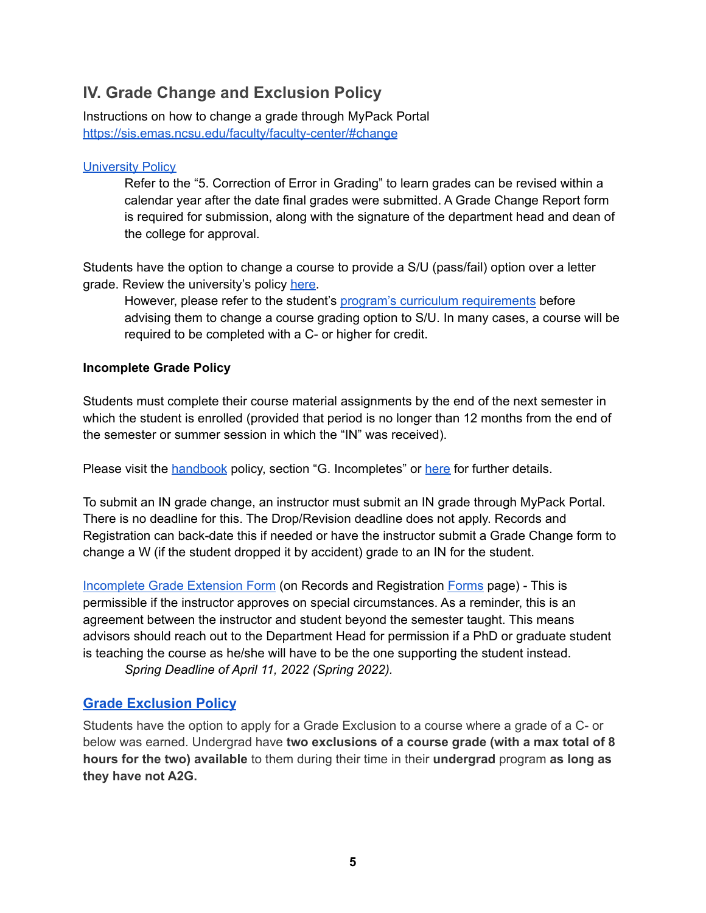## <span id="page-4-0"></span>**IV. Grade Change and Exclusion Policy**

Instructions on how to change a grade through MyPack Portal <https://sis.emas.ncsu.edu/faculty/faculty-center/#change>

#### [University](https://policies.ncsu.edu/regulation/reg-02-50-03/) Policy

Refer to the "5. Correction of Error in Grading" to learn grades can be revised within a calendar year after the date final grades were submitted. A Grade Change Report form is required for submission, along with the signature of the department head and dean of the college for approval.

Students have the option to change a course to provide a S/U (pass/fail) option over a letter grade. Review the university's policy [here](https://studentservices.ncsu.edu/your-resources/covid-19/spring2020-sat-grading/).

However, please refer to the student's program's curriculum [requirements](https://design.ncsu.edu/incoming-student-registration/) before advising them to change a course grading option to S/U. In many cases, a course will be required to be completed with a C- or higher for credit.

#### **Incomplete Grade Policy**

Students must complete their course material assignments by the end of the next semester in which the student is enrolled (provided that period is no longer than 12 months from the end of the semester or summer session in which the "IN" was received).

Please visit the **[handbook](http://catalog.ncsu.edu/graduate/graduate-handbook/grades/#:~:text=The%20grade%20of%20Incomplete%20(%E2%80%9CIN,caused%20by%20their%20own%20negligence.&text=Students%20must%20not%20register%20again,they%20have%20%E2%80%9CIN%E2%80%9D%20grades.)** policy, section "G. Incompletes" or [here](https://policies.ncsu.edu/regulation/reg-02-50-03/) for further details.

To submit an IN grade change, an instructor must submit an IN grade through MyPack Portal. There is no deadline for this. The Drop/Revision deadline does not apply. Records and Registration can back-date this if needed or have the instructor submit a Grade Change form to change a W (if the student dropped it by accident) grade to an IN for the student.

[Incomplete](https://studentservices.ncsu.edu/forms/registrar/incompleteextension.pdf) Grade Extension Form (on Records and Registration [Forms](https://studentservices.ncsu.edu/your-resources/forms/) page) - This is permissible if the instructor approves on special circumstances. As a reminder, this is an agreement between the instructor and student beyond the semester taught. This means advisors should reach out to the Department Head for permission if a PhD or graduate student is teaching the course as he/she will have to be the one supporting the student instead. *Spring Deadline of April 11, 2022 (Spring 2022).*

#### **[Grade Exclusion Policy](https://policies.ncsu.edu/regulation/reg-02-20-16/)**

Students have the option to apply for a Grade Exclusion to a course where a grade of a C- or below was earned. Undergrad have **two exclusions of a course grade (with a max total of 8 hours for the two) available** to them during their time in their **undergrad** program **as long as they have not A2G.**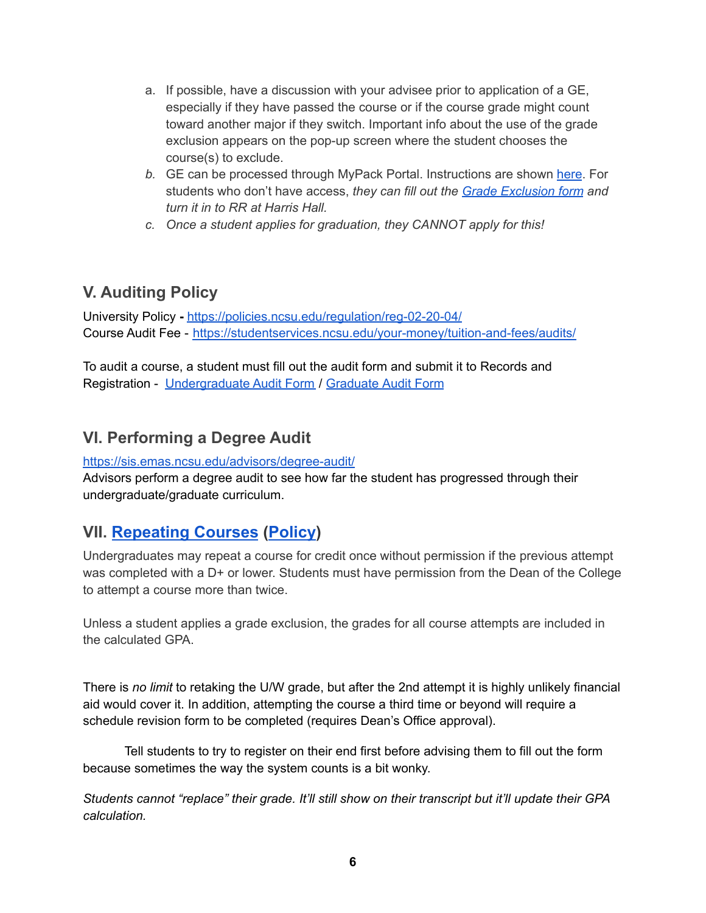- a. If possible, have a discussion with your advisee prior to application of a GE, especially if they have passed the course or if the course grade might count toward another major if they switch. Important info about the use of the grade exclusion appears on the pop-up screen where the student chooses the course(s) to exclude.
- *b.* GE can be processed through MyPack Portal. Instructions are shown [here](https://www.youtube.com/watch?v=2tGNrdaYv8Q). For students who don't have access, *they can fill out the Grade [Exclusion](https://advising.dasa.ncsu.edu/wp-content/uploads/sites/34/2018/08/Grade-Exclusion-Form.pdf) form and turn it in to RR at Harris Hall.*
- *c. Once a student applies for graduation, they CANNOT apply for this!*

## <span id="page-5-0"></span>**V. Auditing Policy**

University Policy **-** <https://policies.ncsu.edu/regulation/reg-02-20-04/> Course Audit Fee - <https://studentservices.ncsu.edu/your-money/tuition-and-fees/audits/>

To audit a course, a student must fill out the audit form and submit it to Records and Registration - [Undergraduate](https://studentservices.ncsu.edu/forms/registrar/auditform.pdf) Audit Form / [Graduate](https://grad.ncsu.edu/wp-content/uploads/2018/04/audit-request-form.pdf) Audit Form

## <span id="page-5-1"></span>**VI. Performing a Degree Audit**

<https://sis.emas.ncsu.edu/advisors/degree-audit/>

Advisors perform a degree audit to see how far the student has progressed through their undergraduate/graduate curriculum.

## <span id="page-5-2"></span>**VII. [Repeating](https://studentservices.ncsu.edu/your-grades/general-info/) Courses ([Policy](https://policies.ncsu.edu/regulation/reg-02-20-06))**

Undergraduates may repeat a course for credit once without permission if the previous attempt was completed with a D+ or lower. Students must have permission from the Dean of the College to attempt a course more than twice.

Unless a student applies a grade exclusion, the grades for all course attempts are included in the calculated GPA.

There is *no limit* to retaking the U/W grade, but after the 2nd attempt it is highly unlikely financial aid would cover it. In addition, attempting the course a third time or beyond will require a schedule revision form to be completed (requires Dean's Office approval).

Tell students to try to register on their end first before advising them to fill out the form because sometimes the way the system counts is a bit wonky.

*Students cannot "replace" their grade. It'll still show on their transcript but it'll update their GPA calculation.*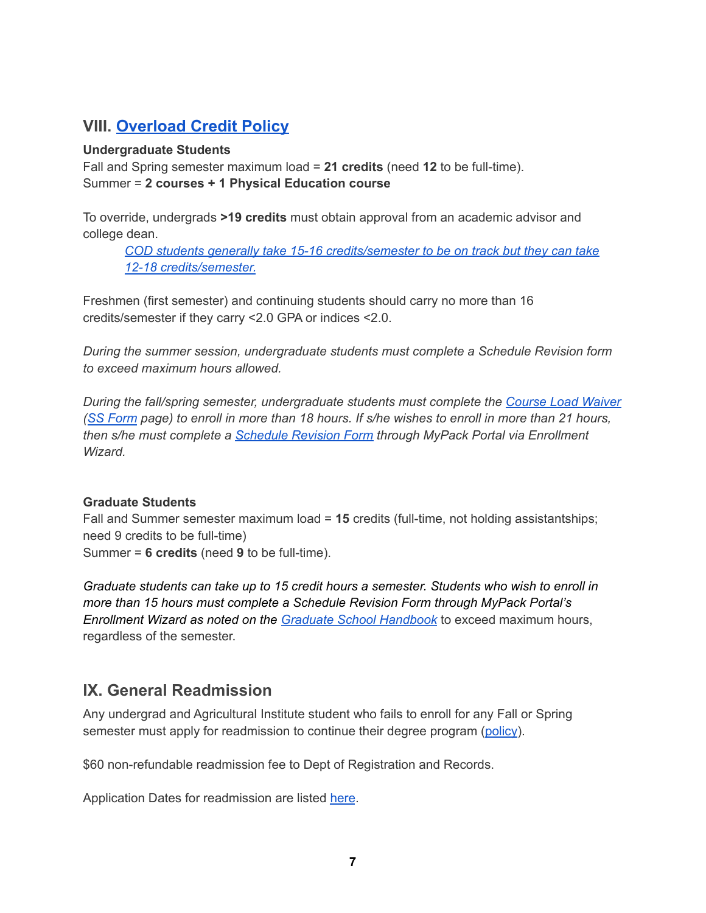## <span id="page-6-0"></span>**VIII. [Overload](https://policies.ncsu.edu/regulation/reg-02-20-05/) Credit Policy**

#### **Undergraduate Students**

Fall and Spring semester maximum load = **21 credits** (need **12** to be full-time). Summer = **2 courses + 1 Physical Education course**

To override, undergrads **>19 credits** must obtain approval from an academic advisor and college dean.

*COD students generally take 15-16 [credits/semester](https://design.ncsu.edu/incoming-student-registration/) to be on track but they can take 12-18 [credits/semester.](https://design.ncsu.edu/incoming-student-registration/)*

Freshmen (first semester) and continuing students should carry no more than 16 credits/semester if they carry <2.0 GPA or indices <2.0.

*During the summer session, undergraduate students must complete a Schedule Revision form to exceed maximum hours allowed.*

*During the fall/spring semester, undergraduate students must complete the [Course](https://studentservices.ncsu.edu/forms/registrar/waiver.pdf) Load Waiver* (SS [Form](https://studentservices.ncsu.edu/your-resources/forms/) page) to enroll in more than 18 hours. If s/he wishes to enroll in more than 21 hours, *then s/he must complete a [Schedule](https://studentservices.ncsu.edu/your-classes/registration/enrollment-wizard/schedule-revision-requests/) Revision Form through MyPack Portal via Enrollment Wizard.*

#### **Graduate Students**

Fall and Summer semester maximum load = **15** credits (full-time, not holding assistantships; need 9 credits to be full-time) Summer = **6 credits** (need **9** to be full-time).

*Graduate students can take up to 15 credit hours a semester. Students who wish to enroll in more than 15 hours must complete a Schedule Revision Form through MyPack Portal's Enrollment Wizard as noted on the Graduate School [Handbook](http://catalog.ncsu.edu/graduate/graduate-handbook/course-registration/#text)* to exceed maximum hours, regardless of the semester.

## <span id="page-6-1"></span>**IX. General Readmission**

Any undergrad and Agricultural Institute student who fails to enroll for any Fall or Spring semester must apply for readmission to continue their degree program ([policy\)](https://studentservices.ncsu.edu/your-degree/readmission/).

\$60 non-refundable readmission fee to Dept of Registration and Records.

Application Dates for readmission are listed [here](https://studentservices.ncsu.edu/your-degree/readmission/).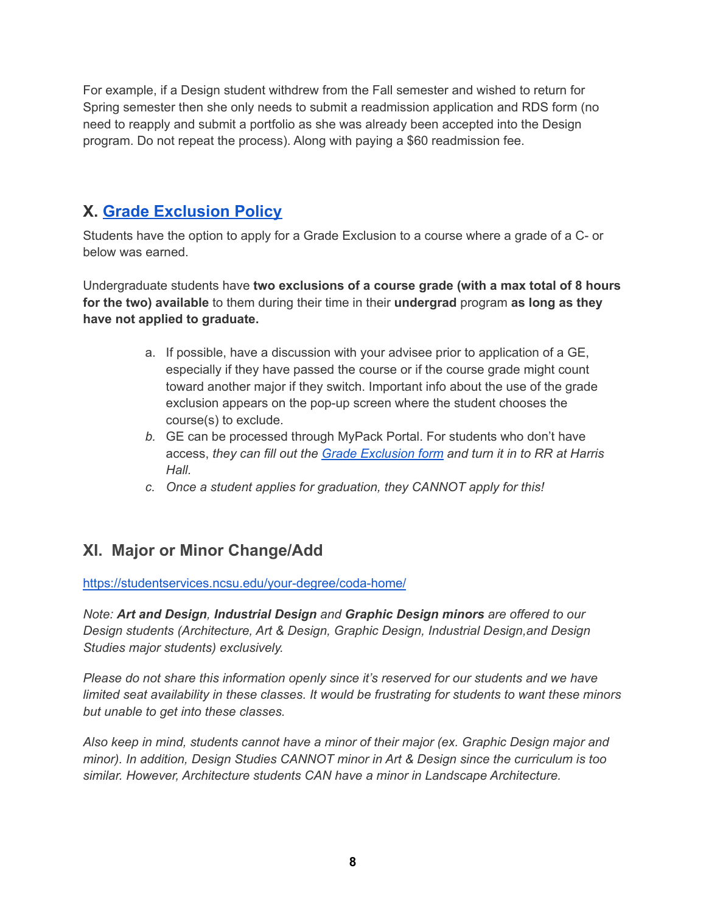For example, if a Design student withdrew from the Fall semester and wished to return for Spring semester then she only needs to submit a readmission application and RDS form (no need to reapply and submit a portfolio as she was already been accepted into the Design program. Do not repeat the process). Along with paying a \$60 readmission fee.

## <span id="page-7-0"></span>**X. Grade [Exclusion](https://policies.ncsu.edu/regulation/reg-02-20-16/) Policy**

Students have the option to apply for a Grade Exclusion to a course where a grade of a C- or below was earned.

Undergraduate students have **two exclusions of a course grade (with a max total of 8 hours for the two) available** to them during their time in their **undergrad** program **as long as they have not applied to graduate.**

- a. If possible, have a discussion with your advisee prior to application of a GE, especially if they have passed the course or if the course grade might count toward another major if they switch. Important info about the use of the grade exclusion appears on the pop-up screen where the student chooses the course(s) to exclude.
- *b.* GE can be processed through MyPack Portal. For students who don't have access, *they can fill out the Grade [Exclusion](https://advising.dasa.ncsu.edu/wp-content/uploads/sites/34/2018/08/Grade-Exclusion-Form.pdf) form and turn it in to RR at Harris Hall.*
- *c. Once a student applies for graduation, they CANNOT apply for this!*

## <span id="page-7-1"></span>**XI. Major or Minor Change/Add**

<https://studentservices.ncsu.edu/your-degree/coda-home/>

*Note: Art and Design, Industrial Design and Graphic Design minors are offered to our Design students (Architecture, Art & Design, Graphic Design, Industrial Design,and Design Studies major students) exclusively.*

*Please do not share this information openly since it's reserved for our students and we have limited seat availability in these classes. It would be frustrating for students to want these minors but unable to get into these classes.*

*Also keep in mind, students cannot have a minor of their major (ex. Graphic Design major and minor). In addition, Design Studies CANNOT minor in Art & Design since the curriculum is too similar. However, Architecture students CAN have a minor in Landscape Architecture.*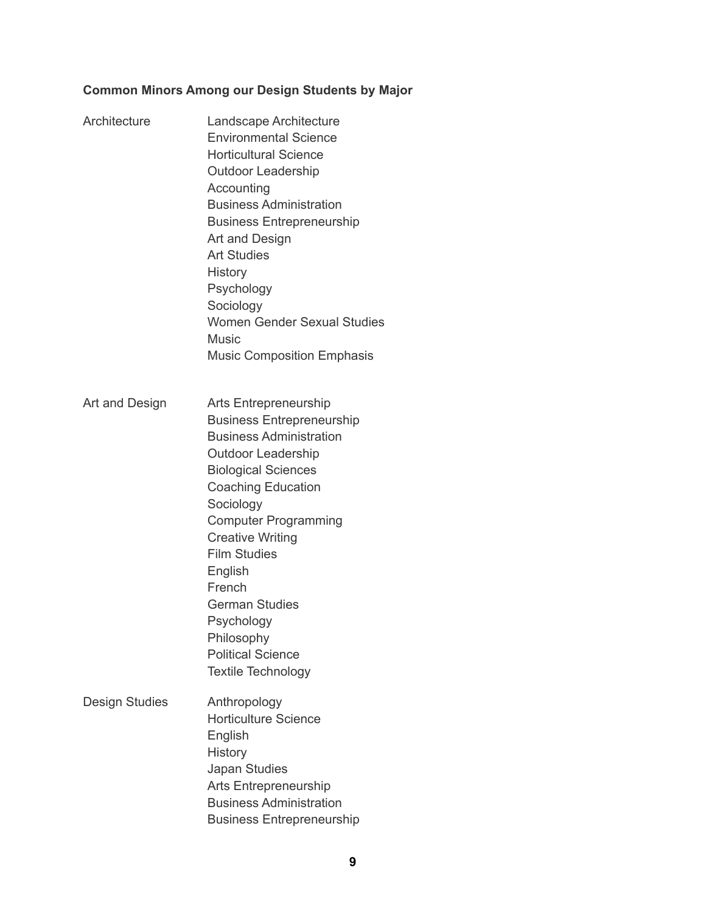### **Common Minors Among our Design Students by Major**

| Architecture   | Landscape Architecture<br><b>Environmental Science</b><br><b>Horticultural Science</b><br><b>Outdoor Leadership</b><br>Accounting<br><b>Business Administration</b><br><b>Business Entrepreneurship</b><br>Art and Design<br><b>Art Studies</b><br><b>History</b><br>Psychology<br>Sociology<br><b>Women Gender Sexual Studies</b><br><b>Music</b><br><b>Music Composition Emphasis</b>                              |
|----------------|----------------------------------------------------------------------------------------------------------------------------------------------------------------------------------------------------------------------------------------------------------------------------------------------------------------------------------------------------------------------------------------------------------------------|
| Art and Design | Arts Entrepreneurship<br><b>Business Entrepreneurship</b><br><b>Business Administration</b><br><b>Outdoor Leadership</b><br><b>Biological Sciences</b><br><b>Coaching Education</b><br>Sociology<br><b>Computer Programming</b><br><b>Creative Writing</b><br><b>Film Studies</b><br>English<br>French<br><b>German Studies</b><br>Psychology<br>Philosophy<br><b>Political Science</b><br><b>Textile Technology</b> |
| Design Studies | Anthropology<br><b>Horticulture Science</b><br>English<br><b>History</b><br>Japan Studies<br><b>Arts Entrepreneurship</b><br><b>Business Administration</b><br><b>Business Entrepreneurship</b>                                                                                                                                                                                                                      |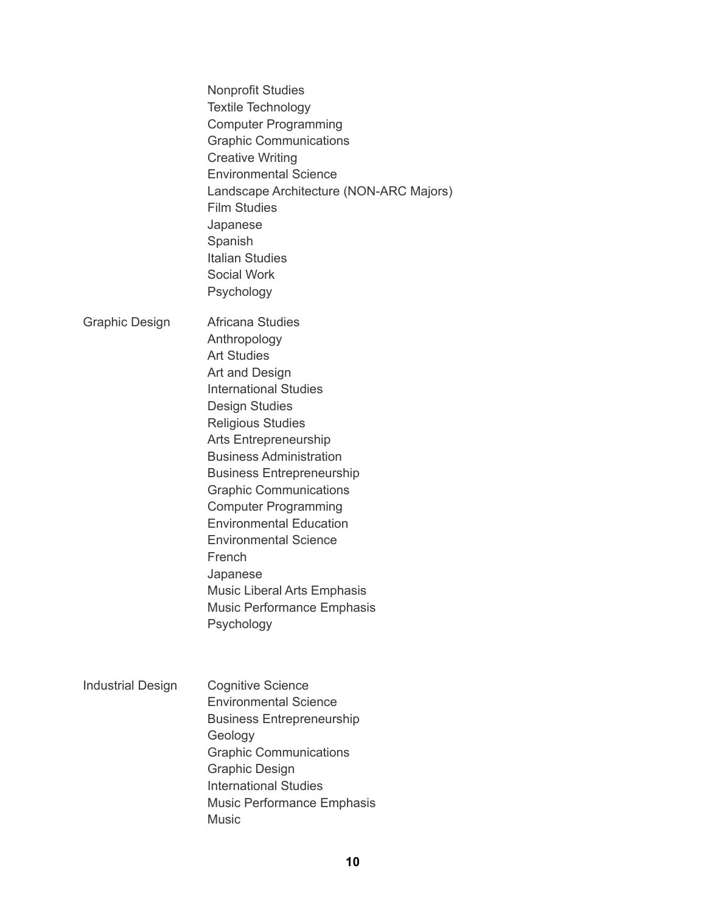|                          | <b>Nonprofit Studies</b><br><b>Textile Technology</b><br><b>Computer Programming</b><br><b>Graphic Communications</b><br><b>Creative Writing</b><br><b>Environmental Science</b><br>Landscape Architecture (NON-ARC Majors)<br><b>Film Studies</b><br>Japanese<br>Spanish<br><b>Italian Studies</b><br><b>Social Work</b><br>Psychology                                                                                                                                                                              |
|--------------------------|----------------------------------------------------------------------------------------------------------------------------------------------------------------------------------------------------------------------------------------------------------------------------------------------------------------------------------------------------------------------------------------------------------------------------------------------------------------------------------------------------------------------|
| Graphic Design           | Africana Studies<br>Anthropology<br><b>Art Studies</b><br>Art and Design<br><b>International Studies</b><br><b>Design Studies</b><br><b>Religious Studies</b><br><b>Arts Entrepreneurship</b><br><b>Business Administration</b><br><b>Business Entrepreneurship</b><br><b>Graphic Communications</b><br><b>Computer Programming</b><br><b>Environmental Education</b><br><b>Environmental Science</b><br>French<br>Japanese<br><b>Music Liberal Arts Emphasis</b><br><b>Music Performance Emphasis</b><br>Psychology |
| <b>Industrial Design</b> | <b>Cognitive Science</b><br><b>Environmental Science</b><br><b>Business Entrepreneurship</b><br>Geology<br><b>Graphic Communications</b><br><b>Graphic Design</b><br><b>International Studies</b><br><b>Music Performance Emphasis</b><br><b>Music</b>                                                                                                                                                                                                                                                               |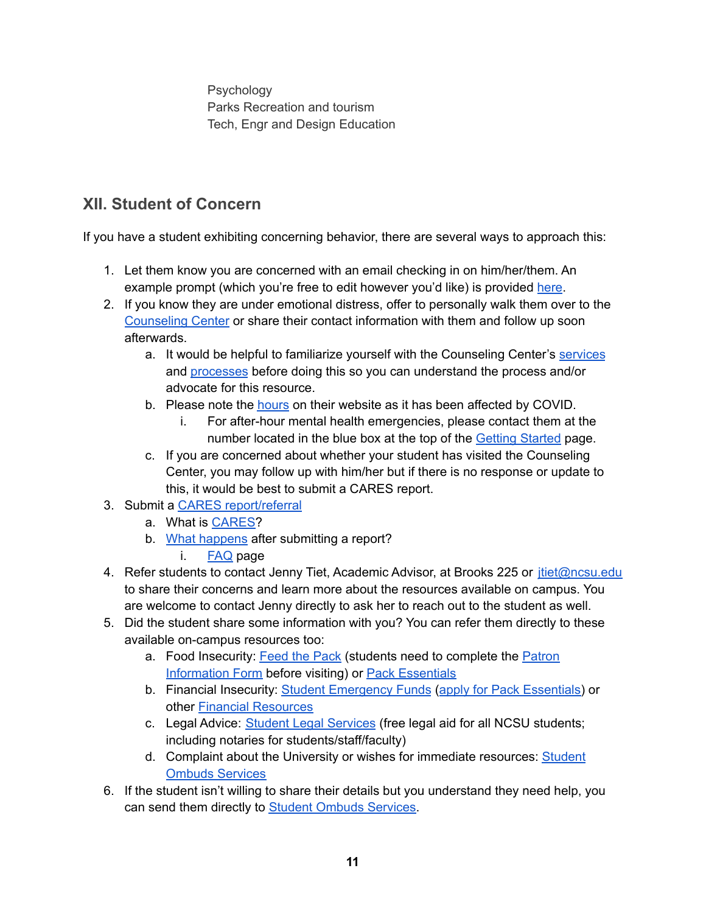Psychology Parks Recreation and tourism Tech, Engr and Design Education

## <span id="page-10-0"></span>**XII. Student of Concern**

If you have a student exhibiting concerning behavior, there are several ways to approach this:

- 1. Let them know you are concerned with an email checking in on him/her/them. An example prompt (which you're free to edit however you'd like) is provided [here](https://prevention.dasa.ncsu.edu/nc-state-cares/for-faculty-and-staff/caring-over-email/).
- 2. If you know they are under emotional distress, offer to personally walk them over to the [Counseling](https://counseling.dasa.ncsu.edu/) Center or share their contact information with them and follow up soon afterwards.
	- a. It would be helpful to familiarize yourself with the Counseling Center's [services](https://counseling.dasa.ncsu.edu/services/) and [processes](https://counseling.dasa.ncsu.edu/about-us/gettingstarted/) before doing this so you can understand the process and/or advocate for this resource.
	- b. Please note the [hours](https://counseling.dasa.ncsu.edu/about-us/location-and-hours/) on their website as it has been affected by COVID.
		- i. For after-hour mental health emergencies, please contact them at the number located in the blue box at the top of the Getting [Started](https://counseling.dasa.ncsu.edu/about-us/gettingstarted/) page.
	- c. If you are concerned about whether your student has visited the Counseling Center, you may follow up with him/her but if there is no response or update to this, it would be best to submit a CARES report.
- 3. Submit a CARES [report/referral](https://cm.maxient.com/reportingform.php?NCStateUniv&layout_id=2)
	- a. What is [CARES?](https://prevention.dasa.ncsu.edu/nc-state-cares/about/)
	- b. What [happens](https://prevention.dasa.ncsu.edu/nc-state-cares/what-happens-next/) after submitting a report?
		- i. [FAQ](https://prevention.dasa.ncsu.edu/nc-state-cares/frequently-asked-questions/) page
- 4. Refer students to contact Jenny Tiet, Academic Advisor, at Brooks 225 or [jtiet@ncsu.edu](mailto:jtiet@ncsu.edu) to share their concerns and learn more about the resources available on campus. You are welcome to contact Jenny directly to ask her to reach out to the student as well.
- 5. Did the student share some information with you? You can refer them directly to these available on-campus resources too:
	- a. Food Insecurity: [Feed](https://feedthepack.dasa.ncsu.edu/) the Pack (students need to complete the [Patron](https://feedthepack.dasa.ncsu.edu/what-to-expect-in-the-pantry/) [Information](https://feedthepack.dasa.ncsu.edu/what-to-expect-in-the-pantry/) Form before visiting) or Pack [Essentials](https://dasa.ncsu.edu/support-and-advocacy/pack-essentials/)
	- b. Financial Insecurity: Student [Emergency](https://dasa.ncsu.edu/support-and-advocacy/pack-essentials/student-emergency-fund/) Funds (apply for Pack [Essentials\)](https://docs.google.com/forms/d/e/1FAIpQLSdSAxjkVhhl_ValrxcXa5r8tf_wo6Q8p1M5HDnQUfTHc8y45A/viewform) or other Financial [Resources](https://dasa.ncsu.edu/support-and-advocacy/pack-essentials/financial-resources/)
	- c. Legal Advice: Student Legal [Services](https://studentlegal.dasa.ncsu.edu/) (free legal aid for all NCSU students; including notaries for students/staff/faculty)
	- d. Complaint about the University or wishes for immediate resources: [Student](https://ombuds.dasa.ncsu.edu/how-an-ombuds-helps/) Ombuds [Services](https://ombuds.dasa.ncsu.edu/how-an-ombuds-helps/)
- 6. If the student isn't willing to share their details but you understand they need help, you can send them directly to Student Ombuds [Services.](https://ombuds.dasa.ncsu.edu/how-an-ombuds-helps/)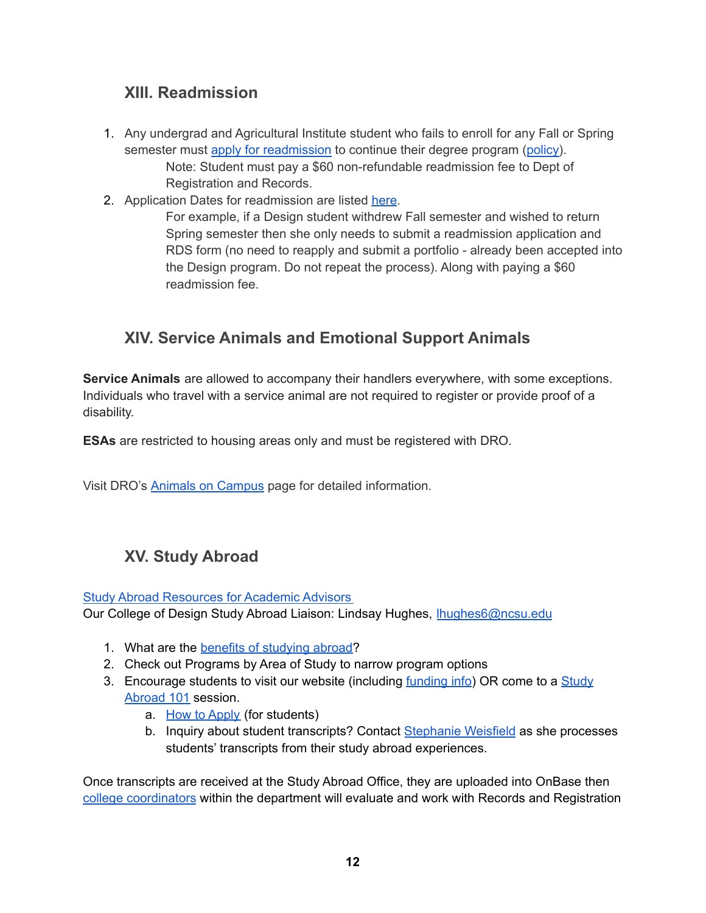## <span id="page-11-0"></span>**XIII. Readmission**

- 1. Any undergrad and Agricultural Institute student who fails to enroll for any Fall or Spring semester must apply for [readmission](https://studentservices.ncsu.edu/your-degree/readmission/) to continue their degree program ([policy\)](https://studentservices.ncsu.edu/your-degree/readmission/). Note: Student must pay a \$60 non-refundable readmission fee to Dept of Registration and Records.
- 2. Application Dates for readmission are listed [here](https://studentservices.ncsu.edu/your-degree/readmission/).

For example, if a Design student withdrew Fall semester and wished to return Spring semester then she only needs to submit a readmission application and RDS form (no need to reapply and submit a portfolio - already been accepted into the Design program. Do not repeat the process). Along with paying a \$60 readmission fee.

## <span id="page-11-1"></span>**XIV. Service Animals and Emotional Support Animals**

**Service Animals** are allowed to accompany their handlers everywhere, with some exceptions. Individuals who travel with a service animal are not required to register or provide proof of a disability.

**ESAs** are restricted to housing areas only and must be registered with DRO.

Visit DRO's Animals on [Campus](https://dro.dasa.ncsu.edu/animals-on-campus/) page for detailed information.

## <span id="page-11-2"></span>**XV. Study Abroad**

Study Abroad [Resources](https://studyabroad.ncsu.edu/study-abroad-resources-for-academic-advisors/) for Academic Advisors

Our College of Design Study Abroad Liaison: Lindsay Hughes, *Ihughes6@ncsu.edu* 

- 1. What are the benefits of [studying](https://studyabroad.ncsu.edu/benefits-of-studying-abroad/) abroad?
- 2. Check out Programs by Area of Study to narrow program options
- 3. Encourage students to visit our website (including [funding](https://studyabroad.ncsu.edu/funding/) info) OR come to a [Study](https://studyabroad.ncsu.edu/application-process-2/study-abroad-101/) [Abroad](https://studyabroad.ncsu.edu/application-process-2/study-abroad-101/) 101 session.
	- a. How to [Apply](https://studyabroad.ncsu.edu/how-to-apply/) (for students)
	- b. Inquiry about student transcripts? Contact [Stephanie](mailto:sbweisfe@ncsu.edu) Weisfield as she processes students' transcripts from their study abroad experiences.

Once transcripts are received at the Study Abroad Office, they are uploaded into OnBase then college [coordinators](https://studyabroad.ncsu.edu/college-transfer-credit-coordinators/) within the department will evaluate and work with Records and Registration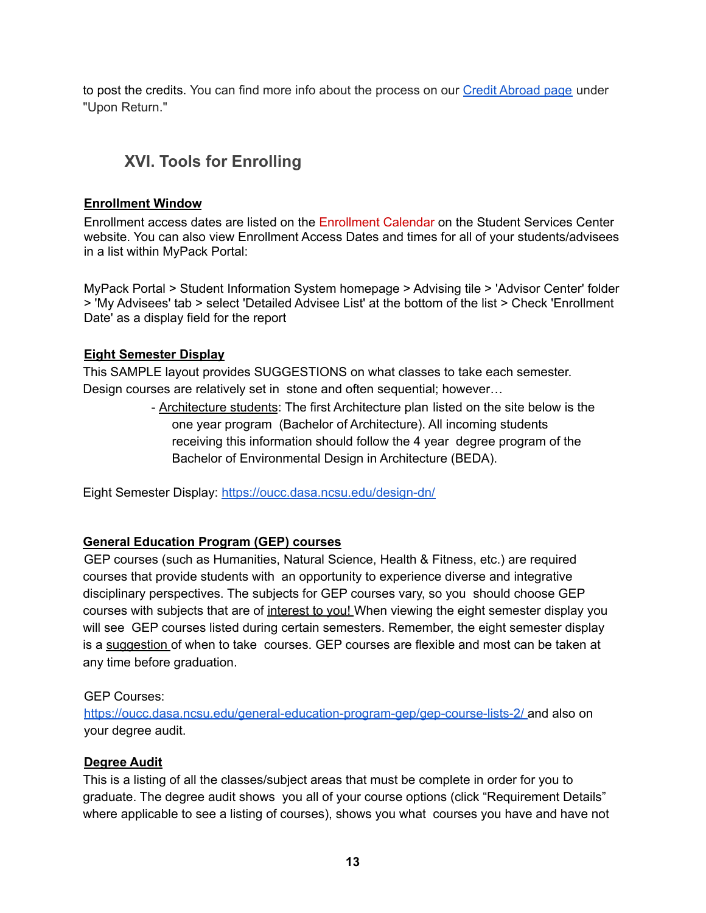to post the credits. You can find more info about the process on our Credit [Abroad](https://studyabroad.ncsu.edu/creditabroad/) page under "Upon Return."

## <span id="page-12-0"></span>**XVI. Tools for Enrolling**

#### **Enrollment Window**

Enrollment access dates are listed on the [Enrollment](https://ncsu.us6.list-manage.com/track/click?u=59cd6a80e7&id=7ba2aacc43&e=b78b1c6124) Calendar on the Student Services Center website. You can also view Enrollment Access Dates and times for all of your students/advisees in a list within MyPack Portal:

MyPack Portal > Student Information System homepage > Advising tile > 'Advisor Center' folder > 'My Advisees' tab > select 'Detailed Advisee List' at the bottom of the list > Check 'Enrollment Date' as a display field for the report

#### **Eight Semester Display**

This SAMPLE layout provides SUGGESTIONS on what classes to take each semester. Design courses are relatively set in stone and often sequential; however…

> - Architecture students: The first Architecture plan listed on the site below is the one year program (Bachelor of Architecture). All incoming students receiving this information should follow the 4 year degree program of the Bachelor of Environmental Design in Architecture (BEDA).

Eight Semester Display: <https://oucc.dasa.ncsu.edu/design-dn/>

#### **General Education Program (GEP) courses**

GEP courses (such as Humanities, Natural Science, Health & Fitness, etc.) are required courses that provide students with an opportunity to experience diverse and integrative disciplinary perspectives. The subjects for GEP courses vary, so you should choose GEP courses with subjects that are of interest to you! When viewing the eight semester display you will see GEP courses listed during certain semesters. Remember, the eight semester display is a suggestion of when to take courses. GEP courses are flexible and most can be taken at any time before graduation.

#### GEP Courses:

<https://oucc.dasa.ncsu.edu/general-education-program-gep/gep-course-lists-2/> and also on your degree audit.

#### **Degree Audit**

This is a listing of all the classes/subject areas that must be complete in order for you to graduate. The degree audit shows you all of your course options (click "Requirement Details" where applicable to see a listing of courses), shows you what courses you have and have not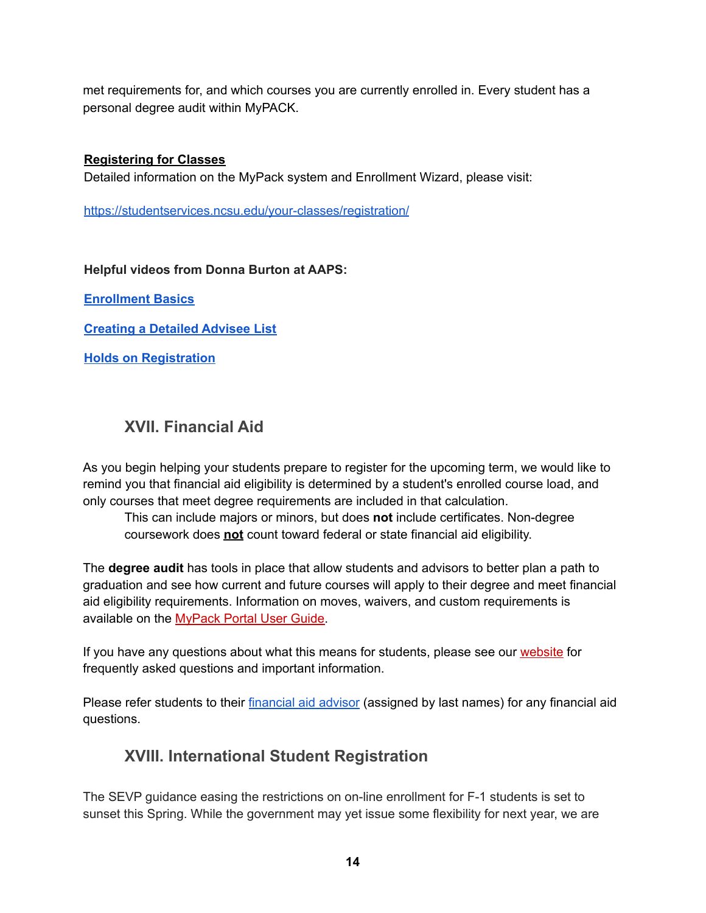met requirements for, and which courses you are currently enrolled in. Every student has a personal degree audit within MyPACK.

#### **Registering for Classes**

Detailed information on the MyPack system and Enrollment Wizard, please visit:

<https://studentservices.ncsu.edu/your-classes/registration/>

#### **Helpful videos from Donna Burton at AAPS:**

**[Enrollment](https://ncsu.hosted.panopto.com/Panopto/Pages/Viewer.aspx?id=671715ab-94cb-464f-92f0-ae40012625ee) Basics**

**[Creating](https://ncsu.hosted.panopto.com/Panopto/Pages/Viewer.aspx?id=11d93bf1-7521-450b-a019-ae40011b25e6) a Detailed Advisee List**

**Holds on [Registration](https://ncsu.hosted.panopto.com/Panopto/Pages/Viewer.aspx?id=9395e4d4-155d-4c0d-854f-ae40011d44a6)**

## <span id="page-13-0"></span>**XVII. Financial Aid**

As you begin helping your students prepare to register for the upcoming term, we would like to remind you that financial aid eligibility is determined by a student's enrolled course load, and only courses that meet degree requirements are included in that calculation.

This can include majors or minors, but does **not** include certificates. Non-degree coursework does **not** count toward federal or state financial aid eligibility.

The **degree audit** has tools in place that allow students and advisors to better plan a path to graduation and see how current and future courses will apply to their degree and meet financial aid eligibility requirements. Information on moves, waivers, and custom requirements is available on the [MyPack](https://ncsu.us6.list-manage.com/track/click?u=59cd6a80e7&id=689a555057&e=b78b1c6124) Portal User Guide.

If you have any questions about what this means for students, please see our [website](https://ncsu.us6.list-manage.com/track/click?u=59cd6a80e7&id=279c452cdc&e=b78b1c6124) for frequently asked questions and important information.

<span id="page-13-1"></span>Please refer students to their [financial](https://emas.ncsu.edu/about/employers/scholarships-and-financial-aid-staff/) aid advisor (assigned by last names) for any financial aid questions.

## **XVIII. International Student Registration**

The SEVP guidance easing the restrictions on on-line enrollment for F-1 students is set to sunset this Spring. While the government may yet issue some flexibility for next year, we are